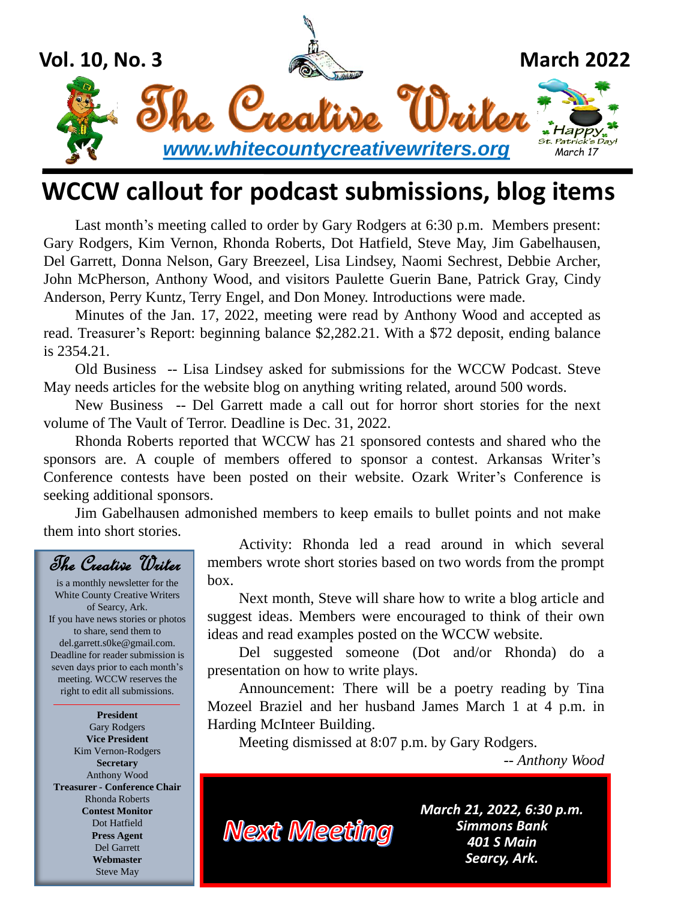

## **WCCW callout for podcast submissions, blog items**

Last month's meeting called to order by Gary Rodgers at 6:30 p.m. Members present: Gary Rodgers, Kim Vernon, Rhonda Roberts, Dot Hatfield, Steve May, Jim Gabelhausen, Del Garrett, Donna Nelson, Gary Breezeel, Lisa Lindsey, Naomi Sechrest, Debbie Archer, John McPherson, Anthony Wood, and visitors Paulette Guerin Bane, Patrick Gray, Cindy Anderson, Perry Kuntz, Terry Engel, and Don Money. Introductions were made.

Minutes of the Jan. 17, 2022, meeting were read by Anthony Wood and accepted as read. Treasurer's Report: beginning balance \$2,282.21. With a \$72 deposit, ending balance is 2354.21.

Old Business -- Lisa Lindsey asked for submissions for the WCCW Podcast. Steve May needs articles for the website blog on anything writing related, around 500 words.

New Business -- Del Garrett made a call out for horror short stories for the next volume of The Vault of Terror. Deadline is Dec. 31, 2022.

Rhonda Roberts reported that WCCW has 21 sponsored contests and shared who the sponsors are. A couple of members offered to sponsor a contest. Arkansas Writer's Conference contests have been posted on their website. Ozark Writer's Conference is seeking additional sponsors.

Jim Gabelhausen admonished members to keep emails to bullet points and not make them into short stories.



is a monthly newsletter for the White County Creative Writers of Searcy, Ark. If you have news stories or photos to share, send them to del.garrett.s0ke@gmail.com. Deadline for reader submission is seven days prior to each month's meeting. WCCW reserves the right to edit all submissions.

**President** Gary Rodgers **Vice President** Kim Vernon-Rodgers **Secretary** Anthony Wood **Treasurer - Conference Chair** Rhonda Roberts **Contest Monitor** Dot Hatfield **Press Agent** Del Garrett **Webmaster** Steve May

Activity: Rhonda led a read around in which several members wrote short stories based on two words from the prompt box.

Next month, Steve will share how to write a blog article and suggest ideas. Members were encouraged to think of their own ideas and read examples posted on the WCCW website.

Del suggested someone (Dot and/or Rhonda) do a presentation on how to write plays.

Announcement: There will be a poetry reading by Tina Mozeel Braziel and her husband James March 1 at 4 p.m. in Harding McInteer Building.

Meeting dismissed at 8:07 p.m. by Gary Rodgers.

*-- Anthony Wood*

**Next Meeting** 

*March 21, 2022, 6:30 p.m. Simmons Bank 401 S Main Searcy, Ark.*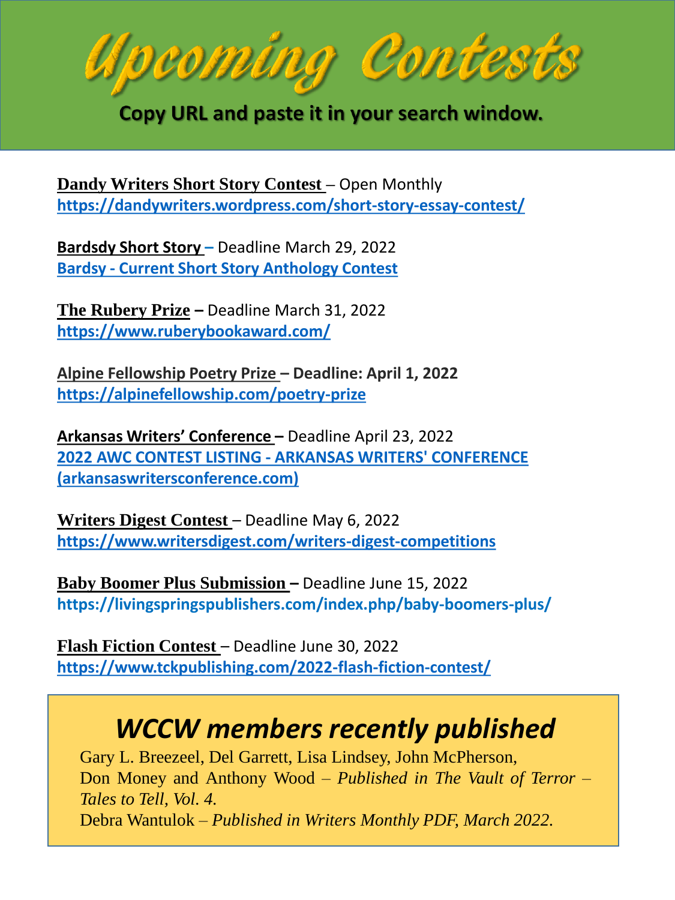pcoming Con<del>t</del>es

Copy URL and paste it in your search window.

**Dandy Writers Short Story Contest –** Open Monthly **<https://dandywriters.wordpress.com/short-story-essay-contest/>**

**Bardsdy Short Story –** Deadline March 29, 2022 **Bardsy - [Current Short Story Anthology Contest](https://bardsy.com/contest)**

**[The Rubery Prize](https://www.ruberybookaward.com/) –** Deadline March 31, 2022 **<https://www.ruberybookaward.com/>**

**Alpine Fellowship Poetry Prize – Deadline: April 1, 2022 <https://alpinefellowship.com/poetry-prize>**

**Arkansas Writers' Conference –** Deadline April 23, 2022 **2022 AWC CONTEST LISTING - ARKANSAS WRITERS' CONFERENCE [\(arkansaswritersconference.com\)](https://www.arkansaswritersconference.com/2022-awc-contest-listing)**

**Writers Digest Contest – Deadline May 6, 2022 <https://www.writersdigest.com/writers-digest-competitions>**

**Baby Boomer Plus Submission –** Deadline June 15, 2022 **https://livingspringspublishers.com/index.php/baby-boomers-plus/**

**Flash Fiction Contest** – Deadline June 30, 2022 **<https://www.tckpublishing.com/2022-flash-fiction-contest/>**

## *WCCW members recently published*

Gary L. Breezeel, Del Garrett, Lisa Lindsey, John McPherson, Don Money and Anthony Wood – *Published in The Vault of Terror – Tales to Tell, Vol. 4.* Debra Wantulok – *Published in Writers Monthly PDF, March 2022.*